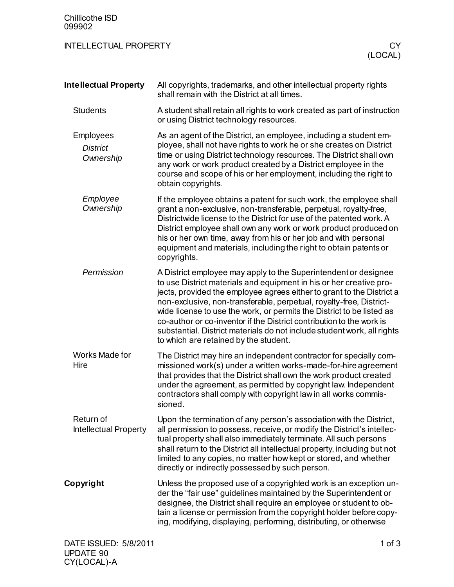| Chillicothe ISD<br>099902                        |                                                                                                                                                                                                                                                                                                                                                                                                                                                                                                                                                             |    |
|--------------------------------------------------|-------------------------------------------------------------------------------------------------------------------------------------------------------------------------------------------------------------------------------------------------------------------------------------------------------------------------------------------------------------------------------------------------------------------------------------------------------------------------------------------------------------------------------------------------------------|----|
| <b>INTELLECTUAL PROPERTY</b>                     | (LOCAL)                                                                                                                                                                                                                                                                                                                                                                                                                                                                                                                                                     | CY |
| <b>Intellectual Property</b>                     | All copyrights, trademarks, and other intellectual property rights<br>shall remain with the District at all times.                                                                                                                                                                                                                                                                                                                                                                                                                                          |    |
| <b>Students</b>                                  | A student shall retain all rights to work created as part of instruction<br>or using District technology resources.                                                                                                                                                                                                                                                                                                                                                                                                                                         |    |
| <b>Employees</b><br><b>District</b><br>Ownership | As an agent of the District, an employee, including a student em-<br>ployee, shall not have rights to work he or she creates on District<br>time or using District technology resources. The District shall own<br>any work or work product created by a District employee in the<br>course and scope of his or her employment, including the right to<br>obtain copyrights.                                                                                                                                                                                |    |
| Employee<br>Ownership                            | If the employee obtains a patent for such work, the employee shall<br>grant a non-exclusive, non-transferable, perpetual, royalty-free,<br>Districtwide license to the District for use of the patented work. A<br>District employee shall own any work or work product produced on<br>his or her own time, away from his or her job and with personal<br>equipment and materials, including the right to obtain patents or<br>copyrights.                                                                                                                  |    |
| Permission                                       | A District employee may apply to the Superintendent or designee<br>to use District materials and equipment in his or her creative pro-<br>jects, provided the employee agrees either to grant to the District a<br>non-exclusive, non-transferable, perpetual, royalty-free, District-<br>wide license to use the work, or permits the District to be listed as<br>co-author or co-inventor if the District contribution to the work is<br>substantial. District materials do not include student work, all rights<br>to which are retained by the student. |    |
| Works Made for<br>Hire                           | The District may hire an independent contractor for specially com-<br>missioned work(s) under a written works-made-for-hire agreement<br>that provides that the District shall own the work product created<br>under the agreement, as permitted by copyright law. Independent<br>contractors shall comply with copyright law in all works commis-<br>sioned.                                                                                                                                                                                               |    |
| Return of<br><b>Intellectual Property</b>        | Upon the termination of any person's association with the District,<br>all permission to possess, receive, or modify the District's intellec-<br>tual property shall also immediately terminate. All such persons<br>shall return to the District all intellectual property, including but not<br>limited to any copies, no matter how kept or stored, and whether<br>directly or indirectly possessed by such person.                                                                                                                                      |    |
| Copyright                                        | Unless the proposed use of a copyrighted work is an exception un-<br>der the "fair use" guidelines maintained by the Superintendent or<br>designee, the District shall require an employee or student to ob-<br>tain a license or permission from the copyright holder before copy-<br>ing, modifying, displaying, performing, distributing, or otherwise                                                                                                                                                                                                   |    |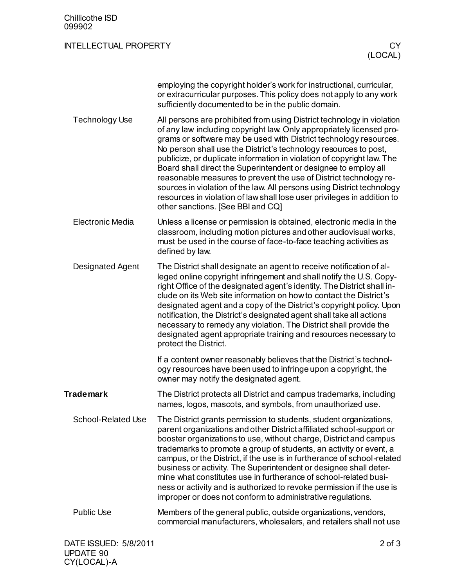| <b>Chillicothe ISD</b><br>099902 |                                                                                                                                                                                                                                                                                                                                                                                                                                                                                                                                                                                                                                                                                                     |
|----------------------------------|-----------------------------------------------------------------------------------------------------------------------------------------------------------------------------------------------------------------------------------------------------------------------------------------------------------------------------------------------------------------------------------------------------------------------------------------------------------------------------------------------------------------------------------------------------------------------------------------------------------------------------------------------------------------------------------------------------|
| <b>INTELLECTUAL PROPERTY</b>     | <b>CY</b><br>(LOCAL)                                                                                                                                                                                                                                                                                                                                                                                                                                                                                                                                                                                                                                                                                |
|                                  | employing the copyright holder's work for instructional, curricular,<br>or extracurricular purposes. This policy does not apply to any work<br>sufficiently documented to be in the public domain.                                                                                                                                                                                                                                                                                                                                                                                                                                                                                                  |
| <b>Technology Use</b>            | All persons are prohibited from using District technology in violation<br>of any law including copyright law. Only appropriately licensed pro-<br>grams or software may be used with District technology resources.<br>No person shall use the District's technology resources to post,<br>publicize, or duplicate information in violation of copyright law. The<br>Board shall direct the Superintendent or designee to employ all<br>reasonable measures to prevent the use of District technology re-<br>sources in violation of the law. All persons using District technology<br>resources in violation of law shall lose user privileges in addition to<br>other sanctions. [See BBI and CQ] |
| <b>Electronic Media</b>          | Unless a license or permission is obtained, electronic media in the<br>classroom, including motion pictures and other audiovisual works,<br>must be used in the course of face-to-face teaching activities as<br>defined by law.                                                                                                                                                                                                                                                                                                                                                                                                                                                                    |
| <b>Designated Agent</b>          | The District shall designate an agent to receive notification of al-<br>leged online copyright infringement and shall notify the U.S. Copy-<br>right Office of the designated agent's identity. The District shall in-<br>clude on its Web site information on how to contact the District's<br>designated agent and a copy of the District's copyright policy. Upon<br>notification, the District's designated agent shall take all actions<br>necessary to remedy any violation. The District shall provide the<br>designated agent appropriate training and resources necessary to<br>protect the District.                                                                                      |
|                                  | If a content owner reasonably believes that the District's technol-<br>ogy resources have been used to infringe upon a copyright, the<br>owner may notify the designated agent.                                                                                                                                                                                                                                                                                                                                                                                                                                                                                                                     |
| <b>Trademark</b>                 | The District protects all District and campus trademarks, including<br>names, logos, mascots, and symbols, from unauthorized use.                                                                                                                                                                                                                                                                                                                                                                                                                                                                                                                                                                   |
| <b>School-Related Use</b>        | The District grants permission to students, student organizations,<br>parent organizations and other District affiliated school-support or<br>booster organizations to use, without charge, District and campus<br>trademarks to promote a group of students, an activity or event, a<br>campus, or the District, if the use is in furtherance of school-related<br>business or activity. The Superintendent or designee shall deter-<br>mine what constitutes use in furtherance of school-related busi-<br>ness or activity and is authorized to revoke permission if the use is<br>improper or does not conform to administrative regulations.                                                   |
| <b>Public Use</b>                | Members of the general public, outside organizations, vendors,<br>commercial manufacturers, wholesalers, and retailers shall not use                                                                                                                                                                                                                                                                                                                                                                                                                                                                                                                                                                |